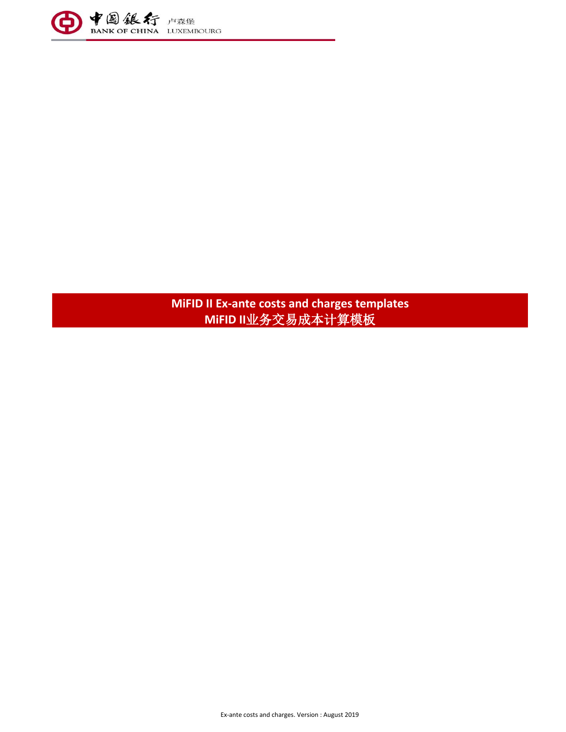

**MiFID II Ex-ante costs and charges templates MiFID II**业务交易成本计算模板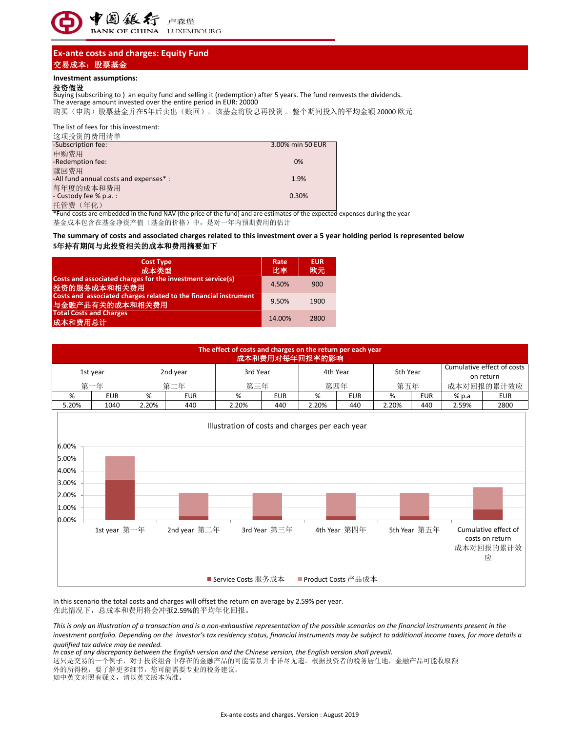

# **Ex-ante costs and charges: Equity Fund** 交易成本:股票基金

### **Investment assumptions:**

#### 投资假设

The average amount invested over the entire period in EUR: 20000 Buying (subscribing to ) an equity fund and selling it (redemption) after 5 years. The fund reinvests the dividends.

购买(申购)股票基金并在5年后卖出(赎回)。该基金将股息再投资。整个期间投入的平均金额 20000 欧元

The list of fees for this investment:

| 这项投资的费用清单                                                 |                    |
|-----------------------------------------------------------|--------------------|
| -Subscription fee:                                        | 3.00% min 50 EUR   |
| 申购费用                                                      |                    |
| -Redemption fee:                                          | 0%                 |
| 赎回费用                                                      |                    |
| -All fund annual costs and expenses* :                    | 1.9%               |
| 每年度的成本和费用                                                 |                    |
|                                                           | 0.30%              |
|                                                           |                    |
| - Custody fee % p.a. :<br>托管费 (年化)<br>$\overline{u}$<br>. | $\sim$ $\sim$<br>. |

\*Fund costs are embedded in the fund NAV (the price of the fund) and are estimates of the expected expenses during the year

基金成本包含在基金净资产值(基金的价格)中,是对一年内预期费用的估计

### **The summary of costs and associated charges related to this investment over a 5 year holding period is represented below 5**年持有期间与此投资相关的成本和费用摘要如下

| <b>Cost Type</b><br>成本类型                                                            | Rate<br>比率 | <b>EUR</b><br>欧元 |
|-------------------------------------------------------------------------------------|------------|------------------|
| Costs and associated charges for the investment service(s)<br>投资的服务成本和相关费用          | 4.50%      | 900              |
| Costs and associated charges related to the financial instrument<br>与金融产品有关的成本和相关费用 | 9.50%      | 1900             |
| <b>Total Costs and Charges</b><br>成本和费用总计                                           | 14.00%     | 2800             |

| The effect of costs and charges on the return per each year<br>成本和费用对每年回报率的影响 |            |       |            |                      |            |       |                                         |       |            |       |            |
|-------------------------------------------------------------------------------|------------|-------|------------|----------------------|------------|-------|-----------------------------------------|-------|------------|-------|------------|
| 3rd Year<br>2nd year<br>1st year                                              |            |       |            | 5th Year<br>4th Year |            |       | Cumulative effect of costs<br>on return |       |            |       |            |
|                                                                               | 第一年        |       | 第二年        | 第三年                  |            | 第四年   |                                         | 第五年   |            |       | 成本对回报的累计效应 |
| %                                                                             | <b>EUR</b> | %     | <b>EUR</b> | %                    | <b>EUR</b> | %     | <b>EUR</b>                              | %     | <b>EUR</b> | % p.a | <b>EUR</b> |
| 5.20%                                                                         | 1040       | 2.20% | 440        | 2.20%                | 440        | 2.20% | 440                                     | 2.20% | 440        | 2.59% | 2800       |



在此情况下,总成本和费用将会冲抵2.59%的平均年化回报。 In this scenario the total costs and charges will offset the return on average by 2.59% per year.

*This is only an illustration of a transaction and is a non-exhaustive representation of the possible scenarios on the financial instruments present in the investment portfolio. Depending on the investor's tax residency status, financial instruments may be subject to additional income taxes, for more details a qualified tax advice may be needed.* 

*In case of any discrepancy between the English version and the Chinese version, the English version shall prevail.*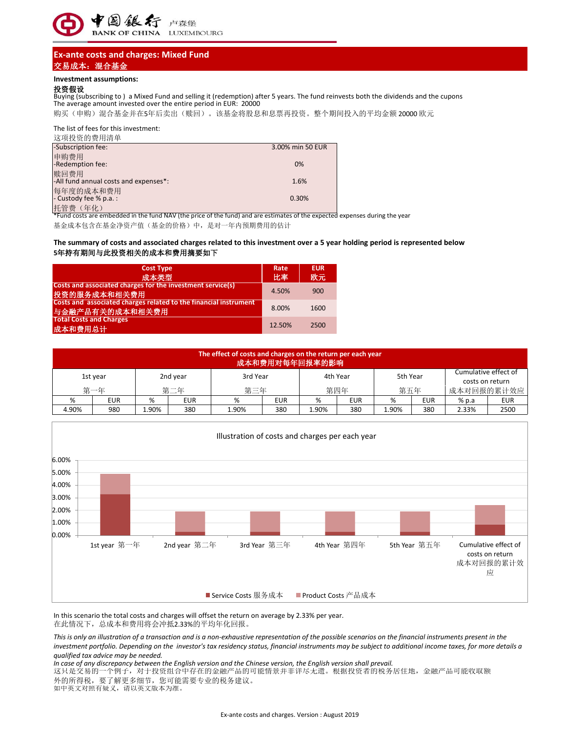

# **Ex-ante costs and charges: Mixed Fund** 交易成本:混合基金

### **Investment assumptions:**

### 投资假设

Buying (subscribing to ) a Mixed Fund and selling it (redemption) after 5 years. The fund reinvests both the dividends and the cupons The average amount invested over the entire period in EUR: 20000

购买(申购)混合基金并在5年后卖出(赎回)。该基金将股息和息票再投资。整个期间投入的平均金额 20000 欧元

The list of fees for this investment:

| 这项投资的费用清单                             |                  |
|---------------------------------------|------------------|
| -Subscription fee:                    | 3.00% min 50 EUR |
| 申购费用                                  |                  |
| -Redemption fee:                      | 0%               |
| 赎回费用                                  |                  |
| -All fund annual costs and expenses*: | 1.6%             |
| 每年度的成本和费用                             |                  |
| - Custody fee % p.a.:                 | 0.30%            |
| 托管费(年化)                               |                  |

\*Fund costs are embedded in the fund NAV (the price of the fund) and are estimates of the expected expenses during the year 基金成本包含在基金净资产值(基金的价格)中,是对一年内预期费用的估计

## **5**年持有期间与此投资相关的成本和费用摘要如下 **The summary of costs and associated charges related to this investment over a 5 year holding period is represented below**

| <b>Cost Type</b><br>成本类型                                                            | Rate<br>比率 | <b>EUR</b><br>欧元 |
|-------------------------------------------------------------------------------------|------------|------------------|
| Costs and associated charges for the investment service(s)<br>投资的服务成本和相关费用          | 4.50%      | 900              |
| Costs and associated charges related to the financial instrument<br>与金融产品有关的成本和相关费用 | 8.00%      | 1600             |
| <b>Total Costs and Charges</b><br>成本和费用总计                                           | 12.50%     | 2500             |

|                                  | The effect of costs and charges on the return per each year<br>成本和费用对每年回报率的影响 |      |     |       |     |          |          |       |                 |                      |            |
|----------------------------------|-------------------------------------------------------------------------------|------|-----|-------|-----|----------|----------|-------|-----------------|----------------------|------------|
| 3rd Year<br>2nd year<br>1st year |                                                                               |      |     |       |     | 4th Year | 5th Year |       | costs on return | Cumulative effect of |            |
|                                  | 第一年                                                                           |      | 第二年 |       | 第三年 |          | 第四年      |       | 第五年             |                      | 成本对回报的累计效应 |
| %                                | <b>EUR</b>                                                                    | %    | EUR | %     | EUR | %        | EUR      | %     | EUR             | $%$ p.a              | EUR        |
| 4.90%                            | 980                                                                           | .90% | 380 | 1.90% | 380 | l.90%    | 380      | 1.90% | 380             | 2.33%                | 2500       |



在此情况下,总成本和费用将会冲抵2.33%的平均年化回报。 In this scenario the total costs and charges will offset the return on average by 2.33% per year.

*This is only an illustration of a transaction and is a non-exhaustive representation of the possible scenarios on the financial instruments present in the investment portfolio. Depending on the investor's tax residency status, financial instruments may be subject to additional income taxes, for more details a qualified tax advice may be needed.* 

*In case of any discrepancy between the English version and the Chinese version, the English version shall prevail.*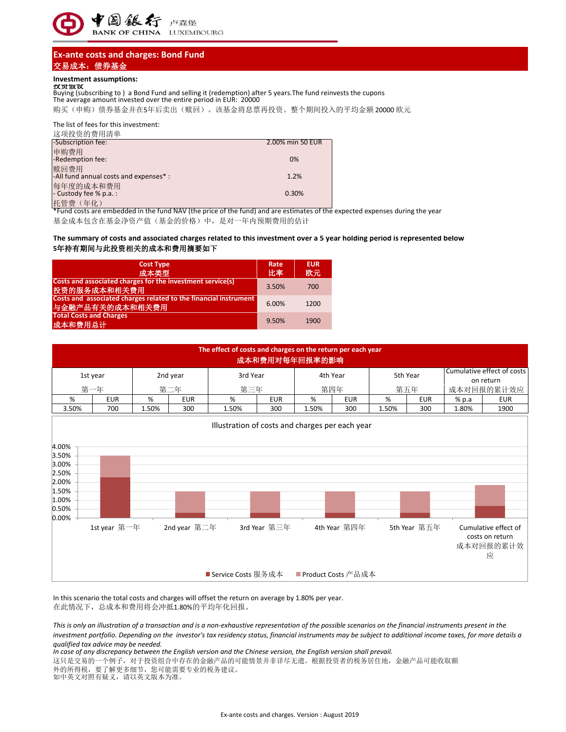

# **Ex-ante costs and charges: Bond Fund** 交易成本:债券基金

## **Investment assumptions:**

投资假设 Buying (subscribing to ) a Bond Fund and selling it (redemption) after 5 years.The fund reinvests the cupons The average amount invested over the entire period in EUR: 20000 购买(申购)债券基金并在5年后卖出(赎回)。该基金将息票再投资。整个期间投入的平均金额 20000 欧元

The list of fees for this investment:

| 这项投资的费用清单                              |                  |
|----------------------------------------|------------------|
| -Subscription fee:                     | 2.00% min 50 EUR |
| 申购费用                                   |                  |
| -Redemption fee:                       | 0%               |
| 赎回费用                                   |                  |
| -All fund annual costs and expenses* : | 1.2%             |
| 每年度的成本和费用                              |                  |
| - Custody fee % p.a.:                  | 0.30%            |
| 托管费 (年化)                               |                  |

\*Fund costs are embedded in the fund NAV (the price of the fund) and are estimates of the expected expenses during the year 基金成本包含在基金净资产值(基金的价格)中,是对一年内预期费用的估计

## **5**年持有期间与此投资相关的成本和费用摘要如下 **The summary of costs and associated charges related to this investment over a 5 year holding period is represented below**

| <b>Cost Type</b><br>成本类型                                                            | Rate<br>比率 | <b>EUR</b><br>欧元 |
|-------------------------------------------------------------------------------------|------------|------------------|
| Costs and associated charges for the investment service(s)<br>投资的服务成本和相关费用          | 3.50%      | 700              |
| Costs and associated charges related to the financial instrument<br>与金融产品有关的成本和相关费用 | 6.00%      | 1200             |
| <b>Total Costs and Charges</b><br>成本和费用总计                                           | 9.50%      | 1900             |

|                                                                               | The effect of costs and charges on the return per each year<br>成本和费用对每年回报率的影响 |       |              |                                                 |              |          |              |       |                                         |       |                                                           |
|-------------------------------------------------------------------------------|-------------------------------------------------------------------------------|-------|--------------|-------------------------------------------------|--------------|----------|--------------|-------|-----------------------------------------|-------|-----------------------------------------------------------|
|                                                                               | 2nd year<br>1st year                                                          |       | 3rd Year     |                                                 |              | 4th Year | 5th Year     |       | Cumulative effect of costs<br>on return |       |                                                           |
|                                                                               | 第一年                                                                           |       | 第二年          | 第三年                                             |              |          | 第四年          | 第五年   |                                         |       | 成本对回报的累计效应                                                |
| %                                                                             | <b>EUR</b>                                                                    | %     | <b>EUR</b>   | %                                               | <b>EUR</b>   | %        | <b>EUR</b>   | %     | <b>EUR</b>                              | % p.a | <b>EUR</b>                                                |
| 3.50%                                                                         | 700                                                                           | 1.50% | 300          | 1.50%                                           | 300          | 1.50%    | 300          | 1.50% | 300                                     | 1.80% | 1900                                                      |
| 4.00%<br>3.50%<br>3.00%<br>2.50%<br>2.00%<br>1.50%<br>1.00%<br>0.50%<br>0.00% | 1st year 第一年                                                                  |       | 2nd year 第二年 | Illustration of costs and charges per each year | 3rd Year 第三年 |          | 4th Year 第四年 |       | 5th Year 第五年                            |       | Cumulative effect of<br>costs on return<br>成本对回报的累计效<br>应 |
|                                                                               | ■ Product Costs 产品成本<br>■ Service Costs 服务成本                                  |       |              |                                                 |              |          |              |       |                                         |       |                                                           |

在此情况下,总成本和费用将会冲抵1.80%的平均年化回报。 In this scenario the total costs and charges will offset the return on average by 1.80% per year.

*This is only an illustration of a transaction and is a non-exhaustive representation of the possible scenarios on the financial instruments present in the investment portfolio. Depending on the investor's tax residency status, financial instruments may be subject to additional income taxes, for more details a qualified tax advice may be needed.* 

*In case of any discrepancy between the English version and the Chinese version, the English version shall prevail.*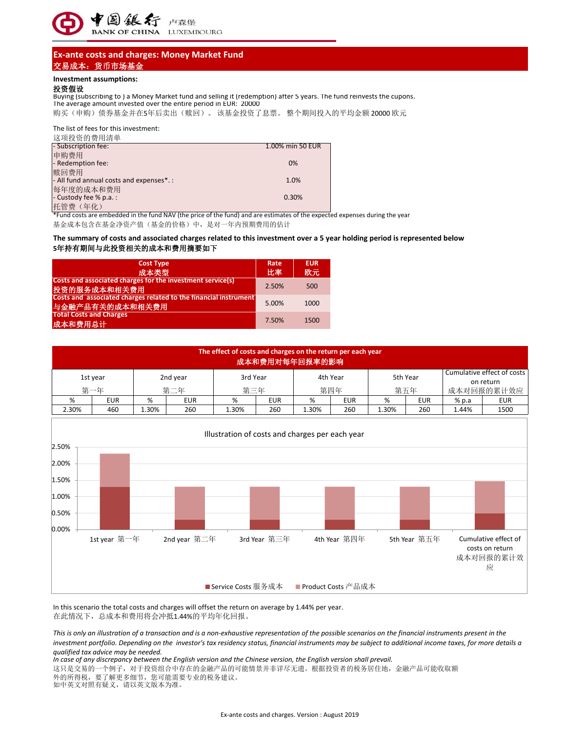

# **Ex-ante costs and charges: Money Market Fund** 交易成本:货币市场基金

### **Investment assumptions:**

### 投资假设

Buying (subscribing to ) a Money Market fund and selling it (redemption) after 5 years. The fund reinvests the cupons. The average amount invested over the entire period in EUR: 20000

购买(申购)债券基金并在5年后卖出(赎回)。 该基金投资了息票。 整个期间投入的平均金额 20000 欧元

The list of fees for this investment:

| 这项投资的费用清单                                |                  |
|------------------------------------------|------------------|
| - Subscription fee:                      | 1.00% min 50 EUR |
| 申购费用                                     |                  |
| - Redemption fee:                        | 0%               |
| 赎回费用                                     |                  |
| - All fund annual costs and expenses*. : | 1.0%             |
| 每年度的成本和费用                                |                  |
| $\blacksquare$ - Custody fee % p.a.:     | 0.30%            |
| 托管费(年化)                                  |                  |

\*Fund costs are embedded in the fund NAV (the price of the fund) and are estimates of the expected expenses during the year

基金成本包含在基金净资产值(基金的价格)中,是对一年内预期费用的估计

## **5**年持有期间与此投资相关的成本和费用摘要如下 **The summary of costs and associated charges related to this investment over a 5 year holding period is represented below**

| <b>Cost Type</b><br>成本类型                                                            | Rate<br>比率 | <b>EUR</b><br>欧元 |
|-------------------------------------------------------------------------------------|------------|------------------|
| Costs and associated charges for the investment service(s)<br>投资的服务成本和相关费用          | 2.50%      | 500              |
| Costs and associated charges related to the financial instrument<br>与金融产品有关的成本和相关费用 | 5.00%      | 1000             |
| <b>Total Costs and Charges</b><br>成本和费用总计                                           | 7.50%      | 1500             |

| The effect of costs and charges on the return per each year<br>成本和费用对每年回报率的影响 |            |          |            |          |            |          |     |          |            |         |                                         |
|-------------------------------------------------------------------------------|------------|----------|------------|----------|------------|----------|-----|----------|------------|---------|-----------------------------------------|
|                                                                               | 1st year   | 2nd year |            | 3rd Year |            | 4th Year |     | 5th Year |            |         | Cumulative effect of costs<br>on return |
|                                                                               | 第一年        |          | 第二年        |          | 第三年        |          | 第四年 |          | 第五年        |         | 成本对回报的累计效应                              |
| %                                                                             | <b>EUR</b> | %        | <b>EUR</b> | %        | <b>EUR</b> | %        | EUR | %        | <b>EUR</b> | $%$ p.a | <b>EUR</b>                              |
| 2.30%                                                                         | 460        | 1.30%    | 260        | 1.30%    | 260        | 1.30%    | 260 | 1.30%    | 260        | 1.44%   | 1500                                    |



在此情况下,总成本和费用将会冲抵1.44%的平均年化回报。 In this scenario the total costs and charges will offset the return on average by 1.44% per year.

*This is only an illustration of a transaction and is a non-exhaustive representation of the possible scenarios on the financial instruments present in the investment portfolio. Depending on the investor's tax residency status, financial instruments may be subject to additional income taxes, for more details a qualified tax advice may be needed.* 

*In case of any discrepancy between the English version and the Chinese version, the English version shall prevail.*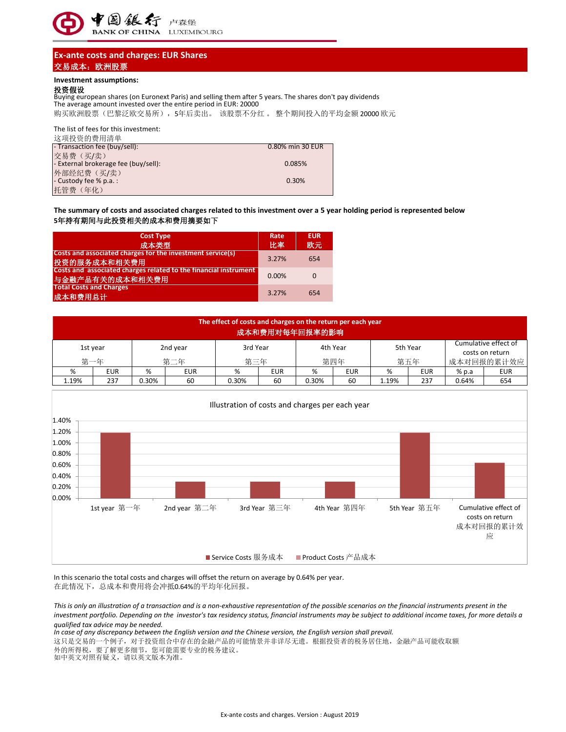

# **Ex-ante costs and charges: EUR Shares** 交易成本:欧洲股票

## **Investment assumptions:**

### 投资假设

Buying european shares (on Euronext Paris) and selling them after 5 years. The shares don't pay dividends 购买欧洲股票(巴黎泛欧交易所), 5年后卖出。该股票不分红。 整个期间投入的平均金额 20000 欧元 The average amount invested over the entire period in EUR: 20000

The list of fees for this investment:

| 这项投资的费用清单                            |                  |
|--------------------------------------|------------------|
| - Transaction fee (buy/sell):        | 0.80% min 30 EUR |
| 交易费(买/卖)                             |                  |
| - External brokerage fee (buy/sell): | 0.085%           |
| 外部经纪费 (买/卖)                          |                  |
| $\blacksquare$ - Custody fee % p.a.: | 0.30%            |
| 托管费 (年化)                             |                  |

## **The summary of costs and associated charges related to this investment over a 5 year holding period is represented below 5**年持有期间与此投资相关的成本和费用摘要如下

| <b>Cost Type</b><br>成本类型                                                            | Rate<br>比率 | <b>EUR</b><br>欧元 |
|-------------------------------------------------------------------------------------|------------|------------------|
| Costs and associated charges for the investment service(s)<br>投资的服务成本和相关费用          | 3.27%      | 654              |
| Costs and associated charges related to the financial instrument<br>与金融产品有关的成本和相关费用 | 0.00%      | $\Omega$         |
| <b>Total Costs and Charges</b><br>成本和费用总计                                           | 3.27%      | 654              |

|       | The effect of costs and charges on the return per each year<br>成本和费用对每年回报率的影响 |       |            |       |            |                                         |            |       |            |         |            |
|-------|-------------------------------------------------------------------------------|-------|------------|-------|------------|-----------------------------------------|------------|-------|------------|---------|------------|
|       | 5th Year<br>4th Year<br>3rd Year<br>2nd year<br>1st year                      |       |            |       |            | Cumulative effect of<br>costs on return |            |       |            |         |            |
|       | 第一年                                                                           | 第二年   |            | 第三年   |            |                                         | 第四年        |       | 第五年        |         | 成本对回报的累计效应 |
| %     | <b>EUR</b>                                                                    | %     | <b>EUR</b> | %     | <b>EUR</b> | %                                       | <b>EUR</b> | %     | <b>EUR</b> | $%$ p.a | <b>EUR</b> |
| 1.19% | 237                                                                           | 0.30% | 60         | 0.30% | 60         | 0.30%                                   | 60         | 1.19% | 237        | 0.64%   | 654        |



在此情况下,总成本和费用将会冲抵0.64%的平均年化回报。 In this scenario the total costs and charges will offset the return on average by 0.64% per year.

*This is only an illustration of a transaction and is a non-exhaustive representation of the possible scenarios on the financial instruments present in the investment portfolio. Depending on the investor's tax residency status, financial instruments may be subject to additional income taxes, for more details a qualified tax advice may be needed.* 

*In case of any discrepancy between the English version and the Chinese version, the English version shall prevail.*

这只是交易的一个例子,对于投资组合中存在的金融产品的可能情景并非详尽无遗。根据投资者的税务居住地,金融产品可能收取额 外的所得税,要了解更多细节,您可能需要专业的税务建议。

如中英文对照有疑义,请以英文版本为准。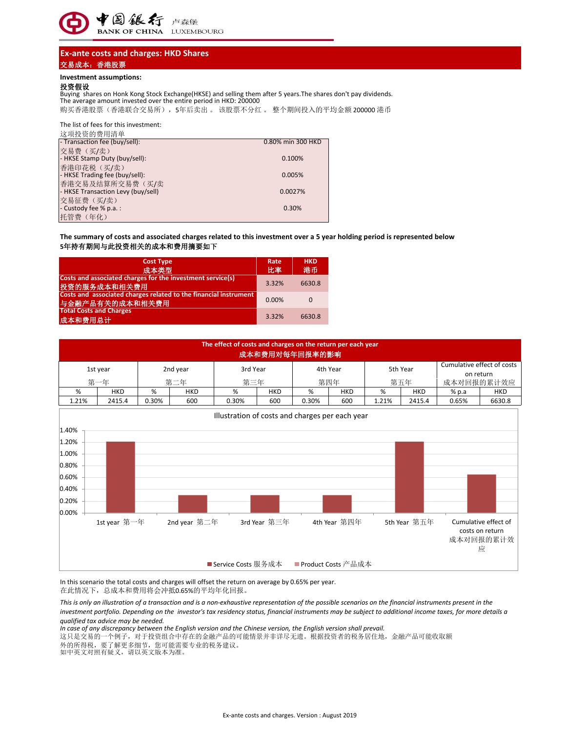

# **Ex-ante costs and charges: HKD Shares** 交易成本:香港股票

#### **Investment assumptions:**

### 投资假设

Buying shares on Honk Kong Stock Exchange(HKSE) and selling them after 5 years.The shares don't pay dividends. The average amount invested over the entire period in HKD: 200000

购买香港股票(香港联合交易所),5年后卖出 。 该股票不分红 。 整个期间投入的平均金额 200000 港币

#### The list of fees for this investment:

| 这项投资的费用清单                                             |                   |
|-------------------------------------------------------|-------------------|
| - Transaction fee (buy/sell):                         | 0.80% min 300 HKD |
| 交易费(买/卖)<br>- HKSE Stamp Duty (buy/sell):             | 0.100%            |
| 香港印花税 (买/卖)<br>- HKSE Trading fee (buy/sell):         | 0.005%            |
| 香港交易及结算所交易费(买/卖<br>- HKSE Transaction Levy (buy/sell) | 0.0027%           |
| 交易征费 (买/卖)<br>- Custody fee % p.a.:                   | 0.30%             |
| 托管费 (年化)                                              |                   |

### **The summary of costs and associated charges related to this investment over a 5 year holding period is represented below 5**年持有期间与此投资相关的成本和费用摘要如下

| <b>Cost Type</b><br>成本类型                                                            | Rate<br>比率 | <b>HKD</b><br>港币 |
|-------------------------------------------------------------------------------------|------------|------------------|
| Costs and associated charges for the investment service(s)<br>投资的服务成本和相关费用          | 3.32%      | 6630.8           |
| Costs and associated charges related to the financial instrument<br>与金融产品有关的成本和相关费用 | 0.00%      | 0                |
| <b>Total Costs and Charges</b><br>成本和费用总计                                           | 3.32%      | 6630.8           |

| The effect of costs and charges on the return per each year<br>成本和费用对每年回报率的影响 |                                                 |       |              |                      |              |                      |              |       |              |            |                                                           |
|-------------------------------------------------------------------------------|-------------------------------------------------|-------|--------------|----------------------|--------------|----------------------|--------------|-------|--------------|------------|-----------------------------------------------------------|
|                                                                               | 1st year                                        |       | 2nd year     | 3rd Year             |              | 4th Year             |              |       | 5th Year     |            | Cumulative effect of costs<br>on return                   |
|                                                                               | 第一年                                             |       | 第二年          | 第三年                  |              | 第四年                  |              | 第五年   |              | 成本对回报的累计效应 |                                                           |
| %                                                                             | <b>HKD</b>                                      | $\%$  | <b>HKD</b>   | %                    | <b>HKD</b>   | %                    | <b>HKD</b>   | $\%$  | <b>HKD</b>   | % p.a      | <b>HKD</b>                                                |
| 1.21%                                                                         | 2415.4                                          | 0.30% | 600          | 0.30%                | 600          | 0.30%                | 600          | 1.21% | 2415.4       | 0.65%      | 6630.8                                                    |
| 1.40%<br>1.20%<br>1.00%<br>0.80%<br>0.60%<br>0.40%                            | Illustration of costs and charges per each year |       |              |                      |              |                      |              |       |              |            |                                                           |
| 0.20%                                                                         |                                                 |       |              |                      |              |                      |              |       |              |            |                                                           |
| 0.00%                                                                         | 1st year 第一年                                    |       | 2nd year 第二年 | ■ Service Costs 服务成本 | 3rd Year 第三年 | ■ Product Costs 产品成本 | 4th Year 第四年 |       | 5th Year 第五年 |            | Cumulative effect of<br>costs on return<br>成本对回报的累计效<br>应 |

在此情况下,总成本和费用将会冲抵0.65%的平均年化回报。 In this scenario the total costs and charges will offset the return on average by 0.65% per year.

*This is only an illustration of a transaction and is a non-exhaustive representation of the possible scenarios on the financial instruments present in the investment portfolio. Depending on the investor's tax residency status, financial instruments may be subject to additional income taxes, for more details a qualified tax advice may be needed.* 

*In case of any discrepancy between the English version and the Chinese version, the English version shall prevail.*